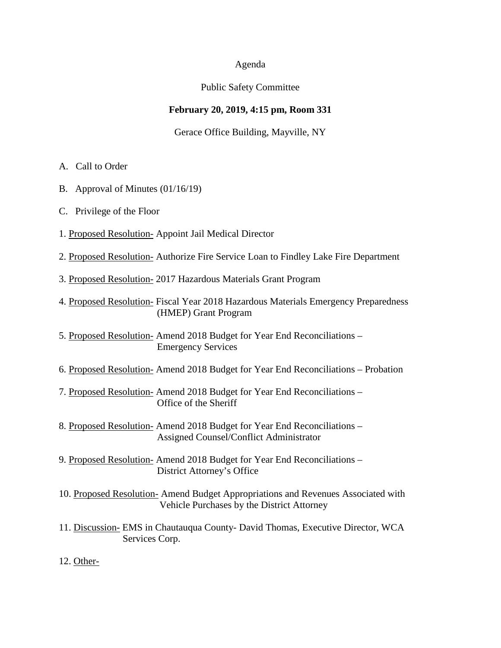## Agenda

# Public Safety Committee

# **February 20, 2019, 4:15 pm, Room 331**

Gerace Office Building, Mayville, NY

- A. Call to Order
- B. Approval of Minutes (01/16/19)
- C. Privilege of the Floor
- 1. Proposed Resolution- Appoint Jail Medical Director
- 2. Proposed Resolution- Authorize Fire Service Loan to Findley Lake Fire Department
- 3. Proposed Resolution- 2017 Hazardous Materials Grant Program
- 4. Proposed Resolution- Fiscal Year 2018 Hazardous Materials Emergency Preparedness (HMEP) Grant Program
- 5. Proposed Resolution- Amend 2018 Budget for Year End Reconciliations Emergency Services
- 6. Proposed Resolution- Amend 2018 Budget for Year End Reconciliations Probation
- 7. Proposed Resolution- Amend 2018 Budget for Year End Reconciliations Office of the Sheriff
- 8. Proposed Resolution- Amend 2018 Budget for Year End Reconciliations Assigned Counsel/Conflict Administrator
- 9. Proposed Resolution- Amend 2018 Budget for Year End Reconciliations District Attorney's Office
- 10. Proposed Resolution- Amend Budget Appropriations and Revenues Associated with Vehicle Purchases by the District Attorney
- 11. Discussion- EMS in Chautauqua County- David Thomas, Executive Director, WCA Services Corp.
- 12. Other-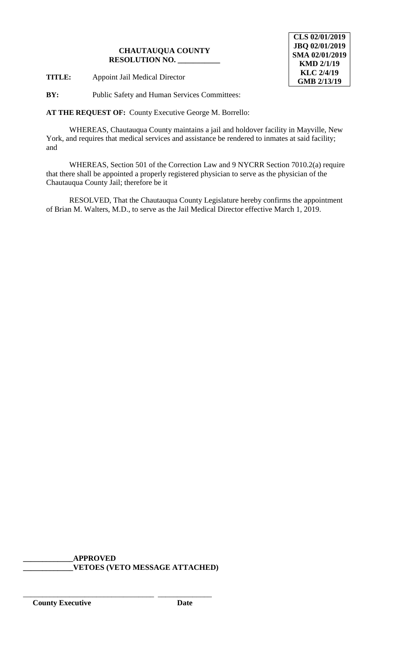**TITLE:** Appoint Jail Medical Director

**BY:** Public Safety and Human Services Committees:

**AT THE REQUEST OF:** County Executive George M. Borrello:

WHEREAS, Chautauqua County maintains a jail and holdover facility in Mayville, New York, and requires that medical services and assistance be rendered to inmates at said facility; and

WHEREAS, Section 501 of the Correction Law and 9 NYCRR Section 7010.2(a) require that there shall be appointed a properly registered physician to serve as the physician of the Chautauqua County Jail; therefore be it

RESOLVED, That the Chautauqua County Legislature hereby confirms the appointment of Brian M. Walters, M.D., to serve as the Jail Medical Director effective March 1, 2019.

**\_\_\_\_\_\_\_\_\_\_\_\_\_APPROVED \_\_\_\_\_\_\_\_\_\_\_\_\_VETOES (VETO MESSAGE ATTACHED)**

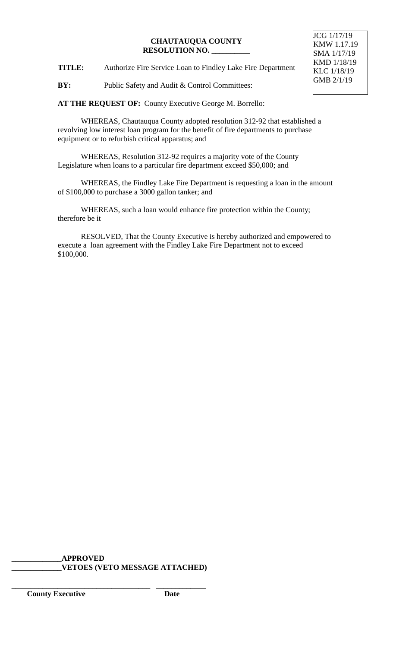**TITLE:** Authorize Fire Service Loan to Findley Lake Fire Department

**BY:** Public Safety and Audit & Control Committees:

**AT THE REQUEST OF:** County Executive George M. Borrello:

WHEREAS, Chautauqua County adopted resolution 312-92 that established a revolving low interest loan program for the benefit of fire departments to purchase equipment or to refurbish critical apparatus; and

WHEREAS, Resolution 312-92 requires a majority vote of the County Legislature when loans to a particular fire department exceed \$50,000; and

WHEREAS, the Findley Lake Fire Department is requesting a loan in the amount of \$100,000 to purchase a 3000 gallon tanker; and

WHEREAS, such a loan would enhance fire protection within the County; therefore be it

RESOLVED, That the County Executive is hereby authorized and empowered to execute a loan agreement with the Findley Lake Fire Department not to exceed \$100,000.

# **\_\_\_\_\_\_\_\_\_\_\_\_\_APPROVED \_\_\_\_\_\_\_\_\_\_\_\_\_VETOES (VETO MESSAGE ATTACHED)**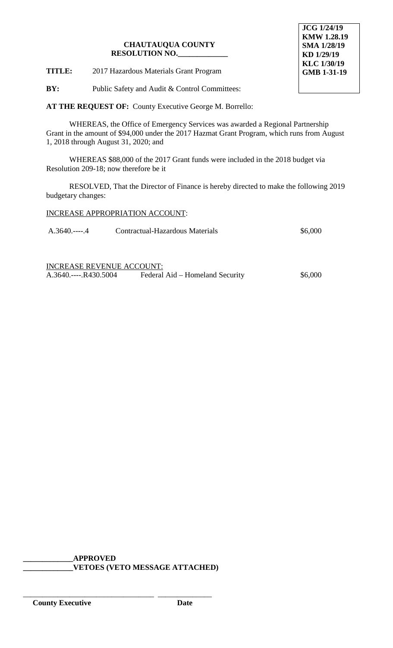**TITLE:** 2017 Hazardous Materials Grant Program

**JCG 1/24/19 KMW 1.28.19 SMA 1/28/19 KD 1/29/19 KLC 1/30/19 GMB 1-31-19**

**BY:** Public Safety and Audit & Control Committees:

**AT THE REQUEST OF:** County Executive George M. Borrello:

WHEREAS, the Office of Emergency Services was awarded a Regional Partnership Grant in the amount of \$94,000 under the 2017 Hazmat Grant Program, which runs from August 1, 2018 through August 31, 2020; and

WHEREAS \$88,000 of the 2017 Grant funds were included in the 2018 budget via Resolution 209-18; now therefore be it

RESOLVED, That the Director of Finance is hereby directed to make the following 2019 budgetary changes:

INCREASE APPROPRIATION ACCOUNT:

| $A.3640$ 4 | Contractual-Hazardous Materials | \$6,000 |
|------------|---------------------------------|---------|
|------------|---------------------------------|---------|

INCREASE REVENUE ACCOUNT: A.3640.----.R430.5004 Federal Aid – Homeland Security \$6,000

**\_\_\_\_\_\_\_\_\_\_\_\_\_APPROVED \_\_\_\_\_\_\_\_\_\_\_\_\_VETOES (VETO MESSAGE ATTACHED)**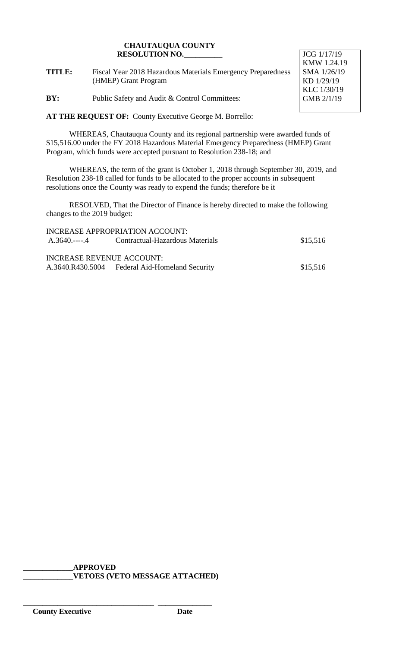**TITLE:** Fiscal Year 2018 Hazardous Materials Emergency Preparedness (HMEP) Grant Program

**BY:** Public Safety and Audit & Control Committees:

JCG 1/17/19 KMW 1.24.19 SMA 1/26/19 KD 1/29/19 KLC 1/30/19 GMB 2/1/19

**AT THE REQUEST OF:** County Executive George M. Borrello:

WHEREAS, Chautauqua County and its regional partnership were awarded funds of \$15,516.00 under the FY 2018 Hazardous Material Emergency Preparedness (HMEP) Grant Program, which funds were accepted pursuant to Resolution 238-18; and

WHEREAS, the term of the grant is October 1, 2018 through September 30, 2019, and Resolution 238-18 called for funds to be allocated to the proper accounts in subsequent resolutions once the County was ready to expend the funds; therefore be it

RESOLVED, That the Director of Finance is hereby directed to make the following changes to the 2019 budget:

|                           | INCREASE APPROPRIATION ACCOUNT:                |          |
|---------------------------|------------------------------------------------|----------|
|                           | A.3640.----.4 Contractual-Hazardous Materials  | \$15,516 |
|                           |                                                |          |
| INCREASE REVENUE ACCOUNT: |                                                |          |
|                           | A.3640.R430.5004 Federal Aid-Homeland Security | \$15,516 |

**\_\_\_\_\_\_\_\_\_\_\_\_\_APPROVED**

\_\_\_\_\_\_\_\_\_\_\_\_\_\_\_\_\_\_\_\_\_\_\_\_\_\_\_\_\_\_\_\_\_\_ \_\_\_\_\_\_\_\_\_\_\_\_\_\_

**\_\_\_\_\_\_\_\_\_\_\_\_\_VETOES (VETO MESSAGE ATTACHED)**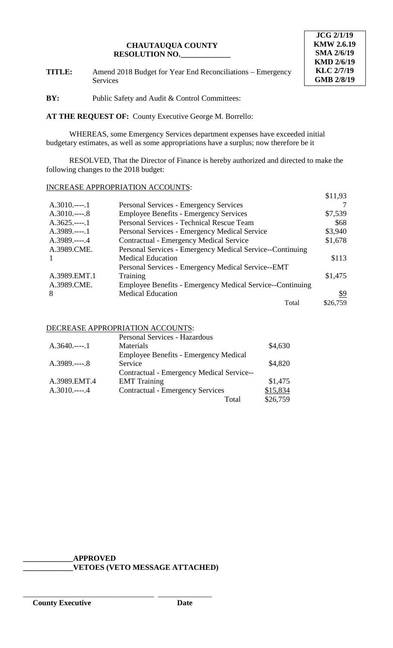

**TITLE:** Amend 2018 Budget for Year End Reconciliations – Emergency Services

**BY:** Public Safety and Audit & Control Committees:

**AT THE REQUEST OF:** County Executive George M. Borrello:

WHEREAS, some Emergency Services department expenses have exceeded initial budgetary estimates, as well as some appropriations have a surplus; now therefore be it

RESOLVED, That the Director of Finance is hereby authorized and directed to make the following changes to the 2018 budget:

# INCREASE APPROPRIATION ACCOUNTS:

|               |                                                           | \$11,93  |
|---------------|-----------------------------------------------------------|----------|
| $A.3010$ 1    | <b>Personal Services - Emergency Services</b>             |          |
| $A.3010$ 8    | <b>Employee Benefits - Emergency Services</b>             | \$7,539  |
| $A.3625.---1$ | Personal Services - Technical Rescue Team                 | \$68     |
| $A.3989.---1$ | Personal Services - Emergency Medical Service             | \$3,940  |
| $A.3989.---4$ | <b>Contractual - Emergency Medical Service</b>            | \$1,678  |
| A.3989.CME.   | Personal Services - Emergency Medical Service--Continuing |          |
| $\mathbf{1}$  | <b>Medical Education</b>                                  | \$113    |
|               | Personal Services - Emergency Medical Service--EMT        |          |
| A.3989.EMT.1  | Training                                                  | \$1,475  |
| A.3989.CME.   | Employee Benefits - Emergency Medical Service--Continuing |          |
| 8             | <b>Medical Education</b>                                  | \$9      |
|               | Total                                                     | \$26,759 |

# DECREASE APPROPRIATION ACCOUNTS:

|               | Personal Services - Hazardous                |          |
|---------------|----------------------------------------------|----------|
| $A.3640$ 1    | Materials                                    | \$4,630  |
|               | <b>Employee Benefits - Emergency Medical</b> |          |
| $A.3989.---8$ | Service                                      | \$4,820  |
|               | Contractual - Emergency Medical Service--    |          |
| A.3989.EMT.4  | <b>EMT</b> Training                          | \$1,475  |
|               | <b>Contractual - Emergency Services</b>      | \$15,834 |
|               | Total                                        | \$26,759 |

# **\_\_\_\_\_\_\_\_\_\_\_\_\_APPROVED**

\_\_\_\_\_\_\_\_\_\_\_\_\_\_\_\_\_\_\_\_\_\_\_\_\_\_\_\_\_\_\_\_\_\_ \_\_\_\_\_\_\_\_\_\_\_\_\_\_

**\_\_\_\_\_\_\_\_\_\_\_\_\_VETOES (VETO MESSAGE ATTACHED)**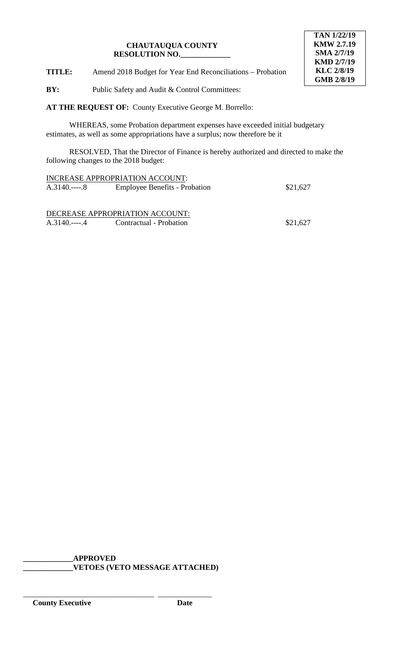

**TITLE:** Amend 2018 Budget for Year End Reconciliations – Probation

**BY:** Public Safety and Audit & Control Committees:

**AT THE REQUEST OF:** County Executive George M. Borrello:

WHEREAS, some Probation department expenses have exceeded initial budgetary estimates, as well as some appropriations have a surplus; now therefore be it

RESOLVED, That the Director of Finance is hereby authorized and directed to make the following changes to the 2018 budget:

|               | INCREASE APPROPRIATION ACCOUNT:      |          |
|---------------|--------------------------------------|----------|
| $A.3140$ 8    | <b>Employee Benefits - Probation</b> | \$21,627 |
|               |                                      |          |
|               |                                      |          |
|               | DECREASE APPROPRIATION ACCOUNT:      |          |
| A.3140.----.4 | Contractual - Probation              | \$21,627 |

**\_\_\_\_\_\_\_\_\_\_\_\_\_APPROVED \_\_\_\_\_\_\_\_\_\_\_\_\_VETOES (VETO MESSAGE ATTACHED)**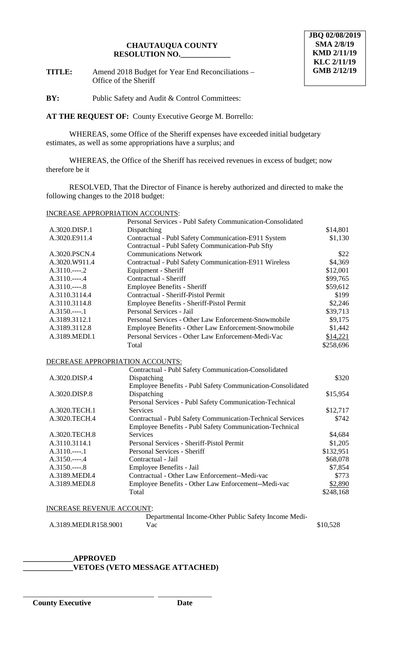**TITLE:** Amend 2018 Budget for Year End Reconciliations – Office of the Sheriff

**BY:** Public Safety and Audit & Control Committees:

**AT THE REQUEST OF:** County Executive George M. Borrello:

WHEREAS, some Office of the Sheriff expenses have exceeded initial budgetary estimates, as well as some appropriations have a surplus; and

WHEREAS, the Office of the Sheriff has received revenues in excess of budget; now therefore be it

RESOLVED, That the Director of Finance is hereby authorized and directed to make the following changes to the 2018 budget:

# INCREASE APPROPRIATION ACCOUNTS:

|                | Personal Services - Publ Safety Communication-Consolidated |           |
|----------------|------------------------------------------------------------|-----------|
| A.3020.DISP.1  | Dispatching                                                | \$14,801  |
| A.3020.E911.4  | Contractual - Publ Safety Communication-E911 System        | \$1,130   |
|                | Contractual - Publ Safety Communication-Pub Sfty           |           |
| A.3020.PSCN.4  | <b>Communications Network</b>                              | \$22      |
| A.3020.W911.4  | Contractual - Publ Safety Communication-E911 Wireless      | \$4,369   |
| $A.3110.---2$  | Equipment - Sheriff                                        | \$12,001  |
| $A.3110.---.4$ | Contractual - Sheriff                                      | \$99,765  |
| $A.3110.---8$  | <b>Employee Benefits - Sheriff</b>                         | \$59,612  |
| A.3110.3114.4  | Contractual - Sheriff-Pistol Permit                        | \$199     |
| A.3110.3114.8  | Employee Benefits - Sheriff-Pistol Permit                  | \$2,246   |
| $A.3150---1$   | Personal Services - Jail                                   | \$39,713  |
| A.3189.3112.1  | Personal Services - Other Law Enforcement-Snowmobile       | \$9,175   |
| A.3189.3112.8  | Employee Benefits - Other Law Enforcement-Snowmobile       | \$1,442   |
| A.3189.MEDI.1  | Personal Services - Other Law Enforcement-Medi-Vac         | \$14,221  |
|                | Total                                                      | \$258,696 |

DECREASE APPROPRIATION ACCOUNTS:

|               | Contractual - Publ Safety Communication-Consolidated              |           |
|---------------|-------------------------------------------------------------------|-----------|
| A.3020.DISP.4 | Dispatching                                                       | \$320     |
|               | Employee Benefits - Publ Safety Communication-Consolidated        |           |
| A.3020.DISP.8 | Dispatching                                                       | \$15,954  |
|               | Personal Services - Publ Safety Communication-Technical           |           |
| A.3020.TECH.1 | <b>Services</b>                                                   | \$12,717  |
| A.3020.TECH.4 | <b>Contractual - Publ Safety Communication-Technical Services</b> | \$742     |
|               | <b>Employee Benefits - Publ Safety Communication-Technical</b>    |           |
| A.3020.TECH.8 | <b>Services</b>                                                   | \$4,684   |
| A.3110.3114.1 | Personal Services - Sheriff-Pistol Permit                         | \$1,205   |
| $A.3110.---1$ | Personal Services - Sheriff                                       | \$132,951 |
| $A.3150---.4$ | Contractual - Jail                                                | \$68,078  |
| $A.3150---8$  | Employee Benefits - Jail                                          | \$7,854   |
| A.3189.MEDI.4 | Contractual - Other Law Enforcement--Medi-vac                     | \$773     |
| A.3189.MEDI.8 | Employee Benefits - Other Law Enforcement--Medi-vac               | \$2,890   |
|               | Total                                                             | \$248,168 |
|               |                                                                   |           |

#### INCREASE REVENUE ACCOUNT:

|                       | Departmental Income-Other Public Safety Income Medi- |          |
|-----------------------|------------------------------------------------------|----------|
| A.3189.MEDI.R158.9001 | Vac                                                  | \$10,528 |

#### **\_\_\_\_\_\_\_\_\_\_\_\_\_APPROVED \_\_\_\_\_\_\_\_\_\_\_\_\_VETOES (VETO MESSAGE ATTACHED)**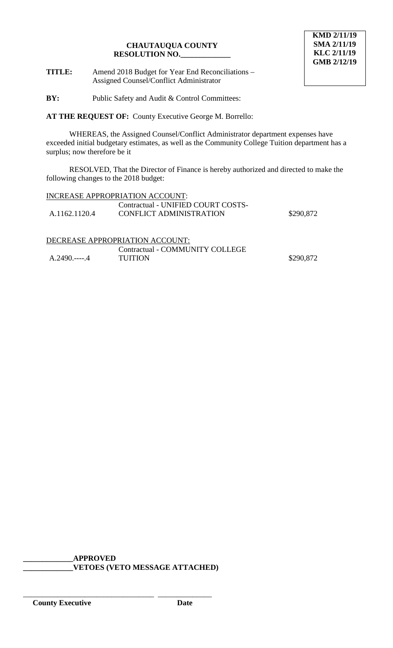**TITLE:** Amend 2018 Budget for Year End Reconciliations – Assigned Counsel/Conflict Administrator

**BY:** Public Safety and Audit & Control Committees:

**AT THE REQUEST OF:** County Executive George M. Borrello:

WHEREAS, the Assigned Counsel/Conflict Administrator department expenses have exceeded initial budgetary estimates, as well as the Community College Tuition department has a surplus; now therefore be it

RESOLVED, That the Director of Finance is hereby authorized and directed to make the following changes to the 2018 budget:

| <b>INCREASE APPROPRIATION ACCOUNT:</b> |
|----------------------------------------|
| Contractual - UNIFIED COURT COSTS-     |

| \$290,872<br><b>CONFLICT ADMINISTRATION</b><br>A.1162.1120.4 |  |
|--------------------------------------------------------------|--|

# DECREASE APPROPRIATION ACCOUNT:

|               | <b>Contractual - COMMUNITY COLLEGE</b> |           |
|---------------|----------------------------------------|-----------|
| A.2490.----.4 | <b>TUITION</b>                         | \$290,872 |

**\_\_\_\_\_\_\_\_\_\_\_\_\_APPROVED \_\_\_\_\_\_\_\_\_\_\_\_\_VETOES (VETO MESSAGE ATTACHED)**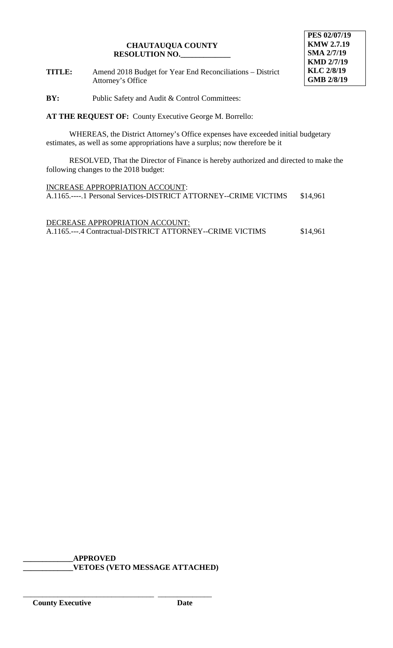**TITLE:** Amend 2018 Budget for Year End Reconciliations – District Attorney's Office

**BY:** Public Safety and Audit & Control Committees:

**AT THE REQUEST OF:** County Executive George M. Borrello:

WHEREAS, the District Attorney's Office expenses have exceeded initial budgetary estimates, as well as some appropriations have a surplus; now therefore be it

RESOLVED, That the Director of Finance is hereby authorized and directed to make the following changes to the 2018 budget:

INCREASE APPROPRIATION ACCOUNT: A.1165.----.1 Personal Services-DISTRICT ATTORNEY--CRIME VICTIMS \$14,961

DECREASE APPROPRIATION ACCOUNT: A.1165.---.4 Contractual-DISTRICT ATTORNEY--CRIME VICTIMS \$14,961

**\_\_\_\_\_\_\_\_\_\_\_\_\_APPROVED \_\_\_\_\_\_\_\_\_\_\_\_\_VETOES (VETO MESSAGE ATTACHED)**